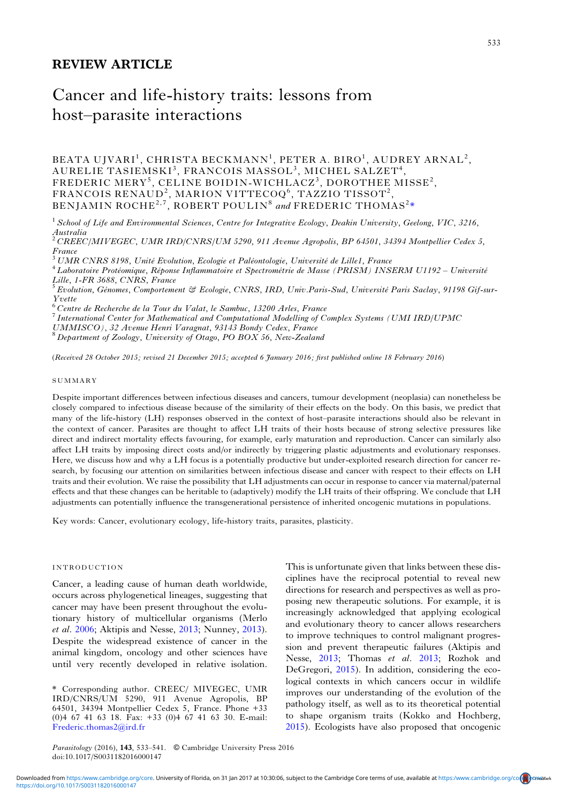# REVIEW ARTICLE

# Cancer and life-history traits: lessons from host–parasite interactions

BEATA UJVARI<sup>1</sup>, CHRISTA BECKMANN<sup>1</sup>, PETER A. BIRO<sup>1</sup>, AUDREY ARNAL<sup>2</sup>,  $\mathrm{AURELIE\;TASIEMSKI}^3,\ \mathrm{FRANCOIS\;MASSOL}^3,\ \mathrm{MICHEL\;SALZET}^4,$ FREDERIC MERY<sup>5</sup>, CELINE BOIDIN-WICHLACZ<sup>3</sup>, DOROTHEE MISSE<sup>2</sup>, FRANCOIS RENAUD<sup>2</sup>, MARION VITTECOQ<sup>6</sup>, TAZZIO TISSOT<sup>2</sup>, BENJAMIN ROCHE<sup>2,7</sup>, ROBERT POULIN<sup>8</sup> and FREDERIC THOMAS<sup>2</sup>\*

<sup>1</sup> School of Life and Environmental Sciences, Centre for Integrative Ecology, Deakin University, Geelong, VIC, 3216, Australia

<sup>2</sup> CREEC/MIVEGEC, UMR IRD/CNRS/UM 5290, 911 Avenue Agropolis, BP 64501, 34394 Montpellier Cedex 5, France<br><sup>3</sup> UMR CNRS 8198, Unité Evolution, Ecologie et Paléontologie, Université de Lille1, France<br><sup>4</sup> Laboratoire Protéomique, Réponse Inflammatoire et Spectrométrie de Masse (PRISM) INSERM U1192 – Université

Lille, 1-FR 3688, CNRS, France<br><sup>5</sup> Evolution, Génomes, Comportement & Ecologie, CNRS, IRD, Univ.Paris-Sud, Université Paris Saclay, 91198 Gif-sur-

Yvette<br><sup>6</sup> Centre de Recherche de la Tour du Valat, le Sambuc, 13200 Arles, France

<sup>7</sup> International Center for Mathematical and Computational Modelling of Complex Systems (UMI IRD/UPMC

UMMISCO), 32 Avenue Henri Varagnat, 93143 Bondy Cedex, France<br><sup>8</sup> Department of Zoology, University of Otago, PO BOX 56, New-Zealand

(Received 28 October 2015; revised 21 December 2015; accepted 6 January 2016; first published online 18 February 2016)

#### SUMMARY

Despite important differences between infectious diseases and cancers, tumour development (neoplasia) can nonetheless be closely compared to infectious disease because of the similarity of their effects on the body. On this basis, we predict that many of the life-history (LH) responses observed in the context of host–parasite interactions should also be relevant in the context of cancer. Parasites are thought to affect LH traits of their hosts because of strong selective pressures like direct and indirect mortality effects favouring, for example, early maturation and reproduction. Cancer can similarly also affect LH traits by imposing direct costs and/or indirectly by triggering plastic adjustments and evolutionary responses. Here, we discuss how and why a LH focus is a potentially productive but under-exploited research direction for cancer research, by focusing our attention on similarities between infectious disease and cancer with respect to their effects on LH traits and their evolution. We raise the possibility that LH adjustments can occur in response to cancer via maternal/paternal effects and that these changes can be heritable to (adaptively) modify the LH traits of their offspring. We conclude that LH adjustments can potentially influence the transgenerational persistence of inherited oncogenic mutations in populations.

Key words: Cancer, evolutionary ecology, life-history traits, parasites, plasticity.

## INTRODUCTION

Cancer, a leading cause of human death worldwide, occurs across phylogenetical lineages, suggesting that cancer may have been present throughout the evolutionary history of multicellular organisms (Merlo et al. [2006;](#page-7-0) Aktipis and Nesse, [2013;](#page-6-0) Nunney, [2013](#page-7-0)). Despite the widespread existence of cancer in the animal kingdom, oncology and other sciences have until very recently developed in relative isolation.

\* Corresponding author. CREEC/ MIVEGEC, UMR IRD/CNRS/UM 5290, 911 Avenue Agropolis, BP 64501, 34394 Montpellier Cedex 5, France. Phone +33 (0)4 67 41 63 18. Fax: +33 (0)4 67 41 63 30. E-mail: [Frederic.thomas2@ird.fr](mailto:Frederic.thomas2@ird.fr)

Parasitology (2016), 143, 533–541. © Cambridge University Press 2016 doi:10.1017/S0031182016000147

This is unfortunate given that links between these disciplines have the reciprocal potential to reveal new directions for research and perspectives as well as proposing new therapeutic solutions. For example, it is increasingly acknowledged that applying ecological and evolutionary theory to cancer allows researchers to improve techniques to control malignant progression and prevent therapeutic failures (Aktipis and Nesse, [2013](#page-6-0); Thomas et al. [2013](#page-7-0); Rozhok and DeGregori, [2015](#page-7-0)). In addition, considering the ecological contexts in which cancers occur in wildlife improves our understanding of the evolution of the pathology itself, as well as to its theoretical potential to shape organism traits (Kokko and Hochberg, [2015\)](#page-7-0). Ecologists have also proposed that oncogenic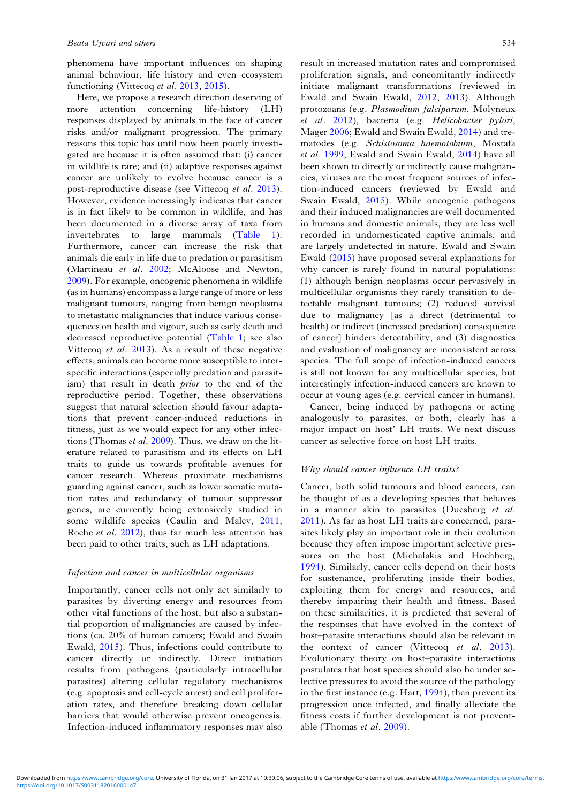phenomena have important influences on shaping animal behaviour, life history and even ecosystem functioning (Vittecoq et al. [2013,](#page-7-0) [2015\)](#page-8-0).

Here, we propose a research direction deserving of more attention concerning life-history (LH) responses displayed by animals in the face of cancer risks and/or malignant progression. The primary reasons this topic has until now been poorly investigated are because it is often assumed that: (i) cancer in wildlife is rare; and (ii) adaptive responses against cancer are unlikely to evolve because cancer is a post-reproductive disease (see Vittecoq et al. [2013\)](#page-7-0). However, evidence increasingly indicates that cancer is in fact likely to be common in wildlife, and has been documented in a diverse array of taxa from invertebrates to large mammals [\(Table 1\)](#page-2-0). Furthermore, cancer can increase the risk that animals die early in life due to predation or parasitism (Martineau et al. [2002;](#page-7-0) McAloose and Newton, [2009\)](#page-7-0). For example, oncogenic phenomena in wildlife (as in humans) encompass a large range of more or less malignant tumours, ranging from benign neoplasms to metastatic malignancies that induce various consequences on health and vigour, such as early death and decreased reproductive potential [\(Table 1;](#page-2-0) see also Vittecoq et al. [2013](#page-7-0)). As a result of these negative effects, animals can become more susceptible to interspecific interactions (especially predation and parasitism) that result in death *prior* to the end of the reproductive period. Together, these observations suggest that natural selection should favour adaptations that prevent cancer-induced reductions in fitness, just as we would expect for any other infections (Thomas et al. [2009](#page-7-0)). Thus, we draw on the literature related to parasitism and its effects on LH traits to guide us towards profitable avenues for cancer research. Whereas proximate mechanisms guarding against cancer, such as lower somatic mutation rates and redundancy of tumour suppressor genes, are currently being extensively studied in some wildlife species (Caulin and Maley, [2011;](#page-6-0) Roche et al. [2012\)](#page-7-0), thus far much less attention has been paid to other traits, such as LH adaptations.

### Infection and cancer in multicellular organisms

Importantly, cancer cells not only act similarly to parasites by diverting energy and resources from other vital functions of the host, but also a substantial proportion of malignancies are caused by infections (ca. 20% of human cancers; Ewald and Swain Ewald, [2015](#page-6-0)). Thus, infections could contribute to cancer directly or indirectly. Direct initiation results from pathogens (particularly intracellular parasites) altering cellular regulatory mechanisms (e.g. apoptosis and cell-cycle arrest) and cell proliferation rates, and therefore breaking down cellular barriers that would otherwise prevent oncogenesis. Infection-induced inflammatory responses may also

result in increased mutation rates and compromised proliferation signals, and concomitantly indirectly initiate malignant transformations (reviewed in Ewald and Swain Ewald, [2012](#page-6-0), [2013](#page-6-0)). Although protozoans (e.g. Plasmodium falciparum, Molyneux et al. [2012](#page-7-0)), bacteria (e.g. Helicobacter pylori, Mager [2006](#page-7-0); Ewald and Swain Ewald, [2014](#page-6-0)) and trematodes (e.g. Schistosoma haemotobium, Mostafa et al. [1999](#page-7-0); Ewald and Swain Ewald, [2014\)](#page-6-0) have all been shown to directly or indirectly cause malignancies, viruses are the most frequent sources of infection-induced cancers (reviewed by Ewald and Swain Ewald, [2015](#page-6-0)). While oncogenic pathogens and their induced malignancies are well documented in humans and domestic animals, they are less well recorded in undomesticated captive animals, and are largely undetected in nature. Ewald and Swain Ewald [\(2015\)](#page-6-0) have proposed several explanations for why cancer is rarely found in natural populations: (1) although benign neoplasms occur pervasively in multicellular organisms they rarely transition to detectable malignant tumours; (2) reduced survival due to malignancy [as a direct (detrimental to health) or indirect (increased predation) consequence of cancer] hinders detectability; and (3) diagnostics and evaluation of malignancy are inconsistent across species. The full scope of infection-induced cancers is still not known for any multicellular species, but interestingly infection-induced cancers are known to occur at young ages (e.g. cervical cancer in humans).

Cancer, being induced by pathogens or acting analogously to parasites, or both, clearly has a major impact on host' LH traits. We next discuss cancer as selective force on host LH traits.

# Why should cancer influence LH traits?

Cancer, both solid tumours and blood cancers, can be thought of as a developing species that behaves in a manner akin to parasites (Duesberg et al. [2011\)](#page-6-0). As far as host LH traits are concerned, parasites likely play an important role in their evolution because they often impose important selective pressures on the host (Michalakis and Hochberg, [1994\)](#page-7-0). Similarly, cancer cells depend on their hosts for sustenance, proliferating inside their bodies, exploiting them for energy and resources, and thereby impairing their health and fitness. Based on these similarities, it is predicted that several of the responses that have evolved in the context of host–parasite interactions should also be relevant in the context of cancer (Vittecoq *et al.* [2013](#page-7-0)). Evolutionary theory on host–parasite interactions postulates that host species should also be under selective pressures to avoid the source of the pathology in the first instance (e.g. Hart, [1994](#page-6-0)), then prevent its progression once infected, and finally alleviate the fitness costs if further development is not preventable (Thomas et al. [2009](#page-7-0)).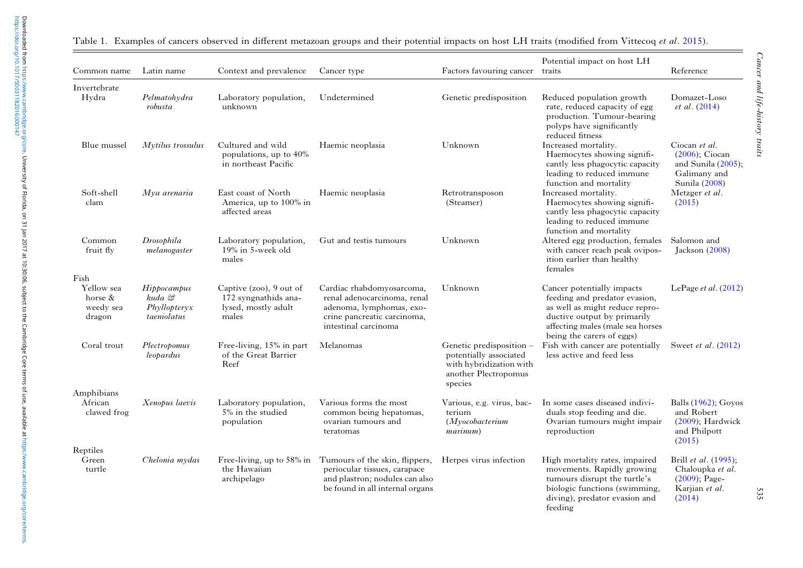| Common name                                             | Latin name                                           | Context and prevalence                                                          | Cancer type                                                                                                                                 | Factors favouring cancer traits                                                                                  | Potential impact on host LH                                                                                                                                                                   | Reference                                                                                          |
|---------------------------------------------------------|------------------------------------------------------|---------------------------------------------------------------------------------|---------------------------------------------------------------------------------------------------------------------------------------------|------------------------------------------------------------------------------------------------------------------|-----------------------------------------------------------------------------------------------------------------------------------------------------------------------------------------------|----------------------------------------------------------------------------------------------------|
| Invertebrate<br>Hydra                                   | Pelmatohydra<br>robusta                              | Laboratory population,<br>unknown                                               | Undetermined                                                                                                                                | Genetic predisposition                                                                                           | Reduced population growth<br>rate, reduced capacity of egg<br>production. Tumour-bearing<br>polyps have significantly<br>reduced fitness                                                      | Domazet-Loso<br>et al. (2014)                                                                      |
| Blue mussel                                             | Mytilus trossulus                                    | Cultured and wild<br>populations, up to 40%<br>in northeast Pacific             | Haemic neoplasia                                                                                                                            | Unknown                                                                                                          | Increased mortality.<br>Haemocytes showing signifi-<br>cantly less phagocytic capacity<br>leading to reduced immune<br>function and mortality                                                 | Ciocan et al.<br>$(2006)$ ; Ciocan<br>and Sunila $(2005)$ ;<br>Galimany and<br>Sunila (2008)       |
| Soft-shell<br>clam                                      | Mya arenaria                                         | East coast of North<br>America, up to 100% in<br>affected areas                 | Haemic neoplasia                                                                                                                            | Retrotransposon<br>(Steamer)                                                                                     | Increased mortality.<br>Haemocytes showing signifi-<br>cantly less phagocytic capacity<br>leading to reduced immune<br>function and mortality                                                 | Metzger et al.<br>(2015)                                                                           |
| Common<br>fruit fly                                     | Drosophila<br>melanogaster                           | Laboratory population,<br>$19\%$ in 5-week old<br>males                         | Gut and testis tumours                                                                                                                      | Unknown                                                                                                          | Altered egg production, females<br>with cancer reach peak ovipos-<br>ition earlier than healthy<br>females                                                                                    | Salomon and<br>Jackson $(2008)$                                                                    |
| Fish<br>Yellow sea<br>horse $\&$<br>weedy sea<br>dragon | Hippocampus<br>kuda &<br>Phyllopteryx<br>taeniolatus | Captive (zoo), 9 out of<br>172 syngnathids ana-<br>lysed, mostly adult<br>males | Cardiac rhabdomyosarcoma,<br>renal adenocarcinoma, renal<br>adenoma, lymphomas, exo-<br>crine pancreatic carcinoma,<br>intestinal carcinoma | Unknown                                                                                                          | Cancer potentially impacts<br>feeding and predator evasion,<br>as well as might reduce repro-<br>ductive output by primarily<br>affecting males (male sea horses<br>being the carers of eggs) | LePage <i>et al.</i> $(2012)$                                                                      |
| Coral trout                                             | Plectropomus<br>leopardus                            | Free-living, 15% in part<br>of the Great Barrier<br>Reef                        | Melanomas                                                                                                                                   | Genetic predisposition -<br>potentially associated<br>with hybridization with<br>another Plectropomus<br>species | Fish with cancer are potentially<br>less active and feed less                                                                                                                                 | Sweet <i>et al.</i> $(2012)$                                                                       |
| Amphibians<br>African<br>clawed frog                    | Xenopus laevis                                       | Laboratory population,<br>5% in the studied<br>population                       | Various forms the most<br>common being hepatomas,<br>ovarian tumours and<br>teratomas                                                       | Various, e.g. virus, bac-<br>terium<br>(Myocobacterium)<br>marinum)                                              | In some cases diseased indivi-<br>duals stop feeding and die.<br>Ovarian tumours might impair<br>reproduction                                                                                 | Balls $(1962)$ ; Goyos<br>and Robert<br>$(2009)$ ; Hardwick<br>and Philpott                        |
| Reptiles<br>Green<br>turtle                             | Chelonia mydas                                       | Free-living, up to 58% in<br>the Hawaiian<br>archipelago                        | Tumours of the skin, flippers,<br>periocular tissues, carapace<br>and plastron; nodules can also<br>be found in all internal organs         | Herpes virus infection                                                                                           | High mortality rates, impaired<br>movements. Rapidly growing<br>tumours disrupt the turtle's<br>biologic functions (swimming,<br>diving), predator evasion and<br>feeding                     | (2015)<br>Brill et al. (1995);<br>Chaloupka et al.<br>$(2009)$ ; Page-<br>Karjian et al.<br>(2014) |

Table 1. Examples of cancers observed in different metazoan groups and their potential impacts on host LH traits (modified from Vittecoq *et al.* [2015](#page-8-0)).

<https://doi.org/10.1017/S0031182016000147>

Downloaded from <https:/www.cambridge.org/core>. University of Florida, on 31 Jan 2017 at 10:30:06, subject to the Cambridge Core terms of use, available at [https:/www.cambridge.org/core/terms.](https:/www.cambridge.org/core/terms)

cambridge.org/core/terms

<span id="page-2-0"></span>Downloaded from https://www.cambridge.org/core. University of Florida, on 31 Jan 2017 at 10:30:06, subject to the Cambridge Core terms of use, available at http<br>https://doi.org/10.1017/50031182016000147

535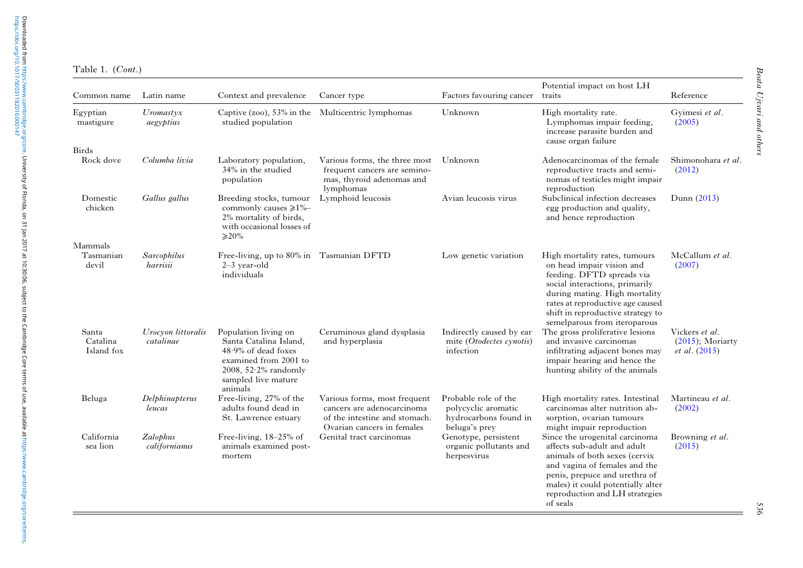Table 1. (Cont.)

<https://doi.org/10.1017/S0031182016000147>

Downloaded from <https:/www.cambridge.org/core>. University of Florida, on 31 Jan 2017 at 10:30:06, subject to the Cambridge Core terms of use, available at [https:/www.cambridge.org/core/terms.](https:/www.cambridge.org/core/terms)

cambridge.org/core/terms.

Downloaded from https://www.cambridge.org/core. University of Florida, on 31 Jan 2017 at 10:30:06, subject to the Cambridge Core terms of use, available at http<br>https://doi.org/10.1017/50031182016000147

| Common name                     | Latin name                      | Context and prevalence                                                                                                                                         | Cancer type                                                                                                               | Factors favouring cancer                                                              | Potential impact on host LH<br>traits                                                                                                                                                                                                                               | Reference                                                     |
|---------------------------------|---------------------------------|----------------------------------------------------------------------------------------------------------------------------------------------------------------|---------------------------------------------------------------------------------------------------------------------------|---------------------------------------------------------------------------------------|---------------------------------------------------------------------------------------------------------------------------------------------------------------------------------------------------------------------------------------------------------------------|---------------------------------------------------------------|
| Egyptian<br>mastigure           | $U$ romastyx<br>aegyptius       | studied population                                                                                                                                             | Captive (zoo), 53% in the Multicentric lymphomas                                                                          | Unknown                                                                               | High mortality rate.<br>Lymphomas impair feeding,<br>increase parasite burden and<br>cause organ failure                                                                                                                                                            | Gyimesi et al.<br>(2005)                                      |
| <b>Birds</b>                    |                                 |                                                                                                                                                                |                                                                                                                           |                                                                                       |                                                                                                                                                                                                                                                                     |                                                               |
| Rock dove                       | Columba livia                   | Laboratory population,<br>34% in the studied<br>population                                                                                                     | Various forms, the three most<br>frequent cancers are semino-<br>mas, thyroid adenomas and<br>lymphomas                   | Unknown                                                                               | Adenocarcinomas of the female<br>reproductive tracts and semi-<br>nomas of testicles might impair<br>reproduction                                                                                                                                                   | Shimonohara et al.<br>(2012)                                  |
| Domestic<br>chicken             | Gallus gallus                   | Breeding stocks, tumour<br>commonly causes $\geq 1\%$<br>2% mortality of birds,<br>with occasional losses of<br>$\geqslant$ 20%                                | Lymphoid leucosis                                                                                                         | Avian leucosis virus                                                                  | Subclinical infection decreases<br>egg production and quality,<br>and hence reproduction                                                                                                                                                                            | Dunn (2013)                                                   |
| Mammals<br>Tasmanian<br>devil   | Sarcophilus<br>harrisii         | Free-living, up to 80% in Tasmanian DFTD<br>$2-3$ year-old<br>individuals                                                                                      |                                                                                                                           | Low genetic variation                                                                 | High mortality rates, tumours<br>on head impair vision and<br>feeding. DFTD spreads via<br>social interactions, primarily<br>during mating. High mortality<br>rates at reproductive age caused<br>shift in reproductive strategy to<br>semelparous from iteroparous | McCallum et al.<br>(2007)                                     |
| Santa<br>Catalina<br>Island fox | Urocyon littoralis<br>catalinae | Population living on<br>Santa Catalina Island,<br>$48.9\%$ of dead foxes<br>examined from 2001 to<br>2008, $52.2\%$ randomly<br>sampled live mature<br>animals | Ceruminous gland dysplasia<br>and hyperplasia                                                                             | Indirectly caused by ear<br>mite (Otodectes cynotis)<br>infection                     | The gross proliferative lesions<br>and invasive carcinomas<br>infiltrating adjacent bones may<br>impair hearing and hence the<br>hunting ability of the animals                                                                                                     | Vickers et al.<br>$(2015)$ ; Moriarty<br><i>et al.</i> (2015) |
| Beluga                          | Delphinapterus<br>leucas        | Free-living, 27% of the<br>adults found dead in<br>St. Lawrence estuary                                                                                        | Various forms, most frequent<br>cancers are adenocarcinoma<br>of the intestine and stomach.<br>Ovarian cancers in females | Probable role of the<br>polycyclic aromatic<br>hydrocarbons found in<br>beluga's prey | High mortality rates. Intestinal<br>carcinomas alter nutrition ab-<br>sorption, ovarian tumours<br>might impair reproduction                                                                                                                                        | Martineau et al.<br>(2002)                                    |
| California<br>sea lion          | Zalophus<br>californianus       | Free-living, $18-25%$ of<br>animals examined post-<br>mortem                                                                                                   | Genital tract carcinomas                                                                                                  | Genotype, persistent<br>organic pollutants and<br>herpesvirus                         | Since the urogenital carcinoma<br>affects sub-adult and adult<br>animals of both sexes (cervix<br>and vagina of females and the<br>penis, prepuce and urethra of<br>males) it could potentially alter<br>reproduction and LH strategies<br>of seals                 | Browning et al.<br>(2015)                                     |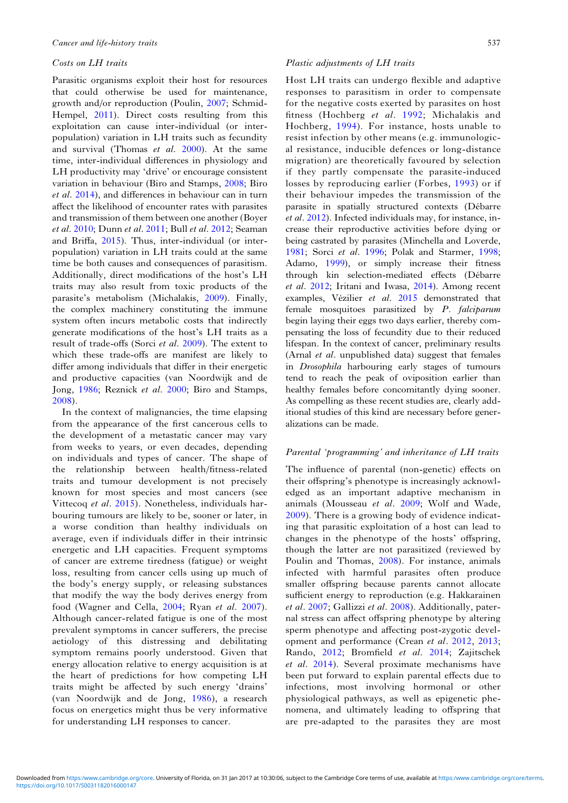#### Costs on LH traits

Parasitic organisms exploit their host for resources that could otherwise be used for maintenance, growth and/or reproduction (Poulin, [2007;](#page-7-0) Schmid-Hempel, [2011\)](#page-7-0). Direct costs resulting from this exploitation can cause inter-individual (or interpopulation) variation in LH traits such as fecundity and survival (Thomas et al. [2000\)](#page-7-0). At the same time, inter-individual differences in physiology and LH productivity may 'drive' or encourage consistent variation in behaviour (Biro and Stamps, [2008;](#page-6-0) Biro et al. [2014](#page-6-0)), and differences in behaviour can in turn affect the likelihood of encounter rates with parasites and transmission of them between one another (Boyer et al. [2010;](#page-6-0) Dunn et al. [2011](#page-6-0); Bull et al. [2012;](#page-6-0) Seaman and Briffa, [2015\)](#page-7-0). Thus, inter-individual (or interpopulation) variation in LH traits could at the same time be both causes and consequences of parasitism. Additionally, direct modifications of the host's LH traits may also result from toxic products of the parasite's metabolism (Michalakis, [2009\)](#page-7-0). Finally, the complex machinery constituting the immune system often incurs metabolic costs that indirectly generate modifications of the host's LH traits as a result of trade-offs (Sorci et al. [2009\)](#page-7-0). The extent to which these trade-offs are manifest are likely to differ among individuals that differ in their energetic and productive capacities (van Noordwijk and de Jong, [1986;](#page-7-0) Reznick et al. [2000](#page-7-0); Biro and Stamps, [2008](#page-6-0)).

In the context of malignancies, the time elapsing from the appearance of the first cancerous cells to the development of a metastatic cancer may vary from weeks to years, or even decades, depending on individuals and types of cancer. The shape of the relationship between health/fitness-related traits and tumour development is not precisely known for most species and most cancers (see Vittecoq et al. [2015](#page-8-0)). Nonetheless, individuals harbouring tumours are likely to be, sooner or later, in a worse condition than healthy individuals on average, even if individuals differ in their intrinsic energetic and LH capacities. Frequent symptoms of cancer are extreme tiredness (fatigue) or weight loss, resulting from cancer cells using up much of the body's energy supply, or releasing substances that modify the way the body derives energy from food (Wagner and Cella, [2004](#page-8-0); Ryan et al. [2007\)](#page-7-0). Although cancer-related fatigue is one of the most prevalent symptoms in cancer sufferers, the precise aetiology of this distressing and debilitating symptom remains poorly understood. Given that energy allocation relative to energy acquisition is at the heart of predictions for how competing LH traits might be affected by such energy 'drains' (van Noordwijk and de Jong, [1986\)](#page-7-0), a research focus on energetics might thus be very informative for understanding LH responses to cancer.

#### Plastic adjustments of LH traits

Host LH traits can undergo flexible and adaptive responses to parasitism in order to compensate for the negative costs exerted by parasites on host fitness (Hochberg et al. [1992](#page-6-0); Michalakis and Hochberg, [1994](#page-7-0)). For instance, hosts unable to resist infection by other means (e.g. immunological resistance, inducible defences or long-distance migration) are theoretically favoured by selection if they partly compensate the parasite-induced losses by reproducing earlier (Forbes, [1993](#page-6-0)) or if their behaviour impedes the transmission of the parasite in spatially structured contexts (Débarre et al. [2012\)](#page-6-0). Infected individuals may, for instance, increase their reproductive activities before dying or being castrated by parasites (Minchella and Loverde, [1981;](#page-7-0) Sorci et al. [1996;](#page-7-0) Polak and Starmer, [1998](#page-7-0); Adamo, [1999](#page-6-0)), or simply increase their fitness through kin selection-mediated effects (Débarre et al. [2012](#page-6-0); Iritani and Iwasa, [2014\)](#page-7-0). Among recent examples, Vézilier et al. [2015](#page-7-0) demonstrated that female mosquitoes parasitized by P. falciparum begin laying their eggs two days earlier, thereby compensating the loss of fecundity due to their reduced lifespan. In the context of cancer, preliminary results (Arnal et al. unpublished data) suggest that females in Drosophila harbouring early stages of tumours tend to reach the peak of oviposition earlier than healthy females before concomitantly dying sooner. As compelling as these recent studies are, clearly additional studies of this kind are necessary before generalizations can be made.

#### Parental 'programming' and inheritance of LH traits

The influence of parental (non-genetic) effects on their offspring's phenotype is increasingly acknowledged as an important adaptive mechanism in animals (Mousseau et al. [2009](#page-7-0); Wolf and Wade, [2009](#page-8-0)). There is a growing body of evidence indicating that parasitic exploitation of a host can lead to changes in the phenotype of the hosts' offspring, though the latter are not parasitized (reviewed by Poulin and Thomas, [2008\)](#page-7-0). For instance, animals infected with harmful parasites often produce smaller offspring because parents cannot allocate sufficient energy to reproduction (e.g. Hakkarainen et al. [2007;](#page-6-0) Gallizzi et al. [2008\)](#page-6-0). Additionally, paternal stress can affect offspring phenotype by altering sperm phenotype and affecting post-zygotic development and performance (Crean et al. [2012,](#page-6-0) [2013](#page-6-0); Rando, [2012](#page-7-0); Bromfield et al. [2014;](#page-6-0) Zajitschek et al. [2014](#page-8-0)). Several proximate mechanisms have been put forward to explain parental effects due to infections, most involving hormonal or other physiological pathways, as well as epigenetic phenomena, and ultimately leading to offspring that are pre-adapted to the parasites they are most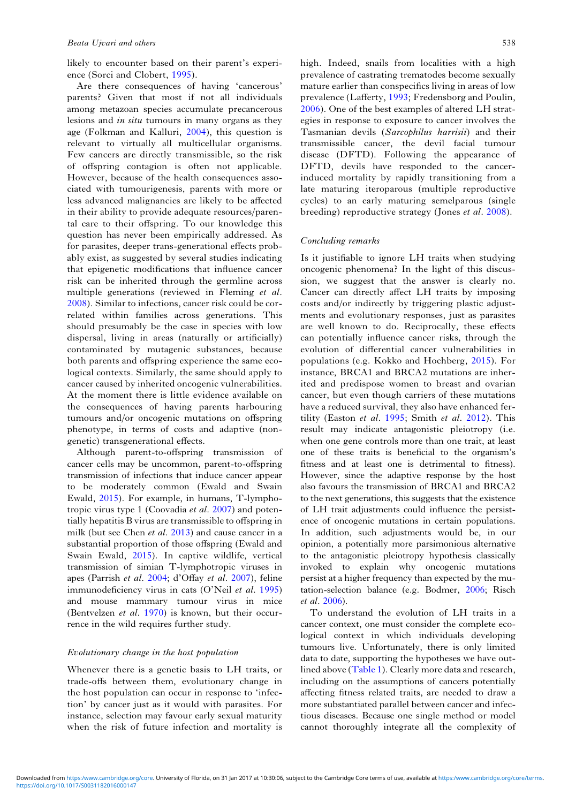likely to encounter based on their parent's experience (Sorci and Clobert, [1995\)](#page-7-0).

Are there consequences of having 'cancerous' parents? Given that most if not all individuals among metazoan species accumulate precancerous lesions and in situ tumours in many organs as they age (Folkman and Kalluri, [2004](#page-6-0)), this question is relevant to virtually all multicellular organisms. Few cancers are directly transmissible, so the risk of offspring contagion is often not applicable. However, because of the health consequences associated with tumourigenesis, parents with more or less advanced malignancies are likely to be affected in their ability to provide adequate resources/parental care to their offspring. To our knowledge this question has never been empirically addressed. As for parasites, deeper trans-generational effects probably exist, as suggested by several studies indicating that epigenetic modifications that influence cancer risk can be inherited through the germline across multiple generations (reviewed in Fleming et al. [2008](#page-6-0)). Similar to infections, cancer risk could be correlated within families across generations. This should presumably be the case in species with low dispersal, living in areas (naturally or artificially) contaminated by mutagenic substances, because both parents and offspring experience the same ecological contexts. Similarly, the same should apply to cancer caused by inherited oncogenic vulnerabilities. At the moment there is little evidence available on the consequences of having parents harbouring tumours and/or oncogenic mutations on offspring phenotype, in terms of costs and adaptive (nongenetic) transgenerational effects.

Although parent-to-offspring transmission of cancer cells may be uncommon, parent-to-offspring transmission of infections that induce cancer appear to be moderately common (Ewald and Swain Ewald, [2015](#page-6-0)). For example, in humans, T-lymphotropic virus type 1 (Coovadia et al. [2007\)](#page-6-0) and potentially hepatitis B virus are transmissible to offspring in milk (but see Chen *et al.* [2013\)](#page-6-0) and cause cancer in a substantial proportion of those offspring (Ewald and Swain Ewald, [2015](#page-6-0)). In captive wildlife, vertical transmission of simian T-lymphotropic viruses in apes (Parrish et al. [2004](#page-7-0); d'Offay et al. [2007\)](#page-6-0), feline immunodeficiency virus in cats (O'Neil et al. [1995](#page-7-0)) and mouse mammary tumour virus in mice (Bentvelzen et al. [1970](#page-6-0)) is known, but their occurrence in the wild requires further study.

# Evolutionary change in the host population

Whenever there is a genetic basis to LH traits, or trade-offs between them, evolutionary change in the host population can occur in response to 'infection' by cancer just as it would with parasites. For instance, selection may favour early sexual maturity when the risk of future infection and mortality is

high. Indeed, snails from localities with a high prevalence of castrating trematodes become sexually mature earlier than conspecifics living in areas of low prevalence (Lafferty, [1993;](#page-7-0) Fredensborg and Poulin, [2006\)](#page-6-0). One of the best examples of altered LH strategies in response to exposure to cancer involves the Tasmanian devils (Sarcophilus harrisii) and their transmissible cancer, the devil facial tumour disease (DFTD). Following the appearance of DFTD, devils have responded to the cancerinduced mortality by rapidly transitioning from a late maturing iteroparous (multiple reproductive cycles) to an early maturing semelparous (single breeding) reproductive strategy (Jones et al. [2008\)](#page-7-0).

#### Concluding remarks

Is it justifiable to ignore LH traits when studying oncogenic phenomena? In the light of this discussion, we suggest that the answer is clearly no. Cancer can directly affect LH traits by imposing costs and/or indirectly by triggering plastic adjustments and evolutionary responses, just as parasites are well known to do. Reciprocally, these effects can potentially influence cancer risks, through the evolution of differential cancer vulnerabilities in populations (e.g. Kokko and Hochberg, [2015\)](#page-7-0). For instance, BRCA1 and BRCA2 mutations are inherited and predispose women to breast and ovarian cancer, but even though carriers of these mutations have a reduced survival, they also have enhanced fertility (Easton et al. [1995](#page-6-0); Smith et al. [2012\)](#page-7-0). This result may indicate antagonistic pleiotropy (i.e. when one gene controls more than one trait, at least one of these traits is beneficial to the organism's fitness and at least one is detrimental to fitness). However, since the adaptive response by the host also favours the transmission of BRCA1 and BRCA2 to the next generations, this suggests that the existence of LH trait adjustments could influence the persistence of oncogenic mutations in certain populations. In addition, such adjustments would be, in our opinion, a potentially more parsimonious alternative to the antagonistic pleiotropy hypothesis classically invoked to explain why oncogenic mutations persist at a higher frequency than expected by the mutation-selection balance (e.g. Bodmer, [2006](#page-6-0); Risch et al. [2006\)](#page-7-0).

To understand the evolution of LH traits in a cancer context, one must consider the complete ecological context in which individuals developing tumours live. Unfortunately, there is only limited data to date, supporting the hypotheses we have outlined above [\(Table 1](#page-2-0)). Clearly more data and research, including on the assumptions of cancers potentially affecting fitness related traits, are needed to draw a more substantiated parallel between cancer and infectious diseases. Because one single method or model cannot thoroughly integrate all the complexity of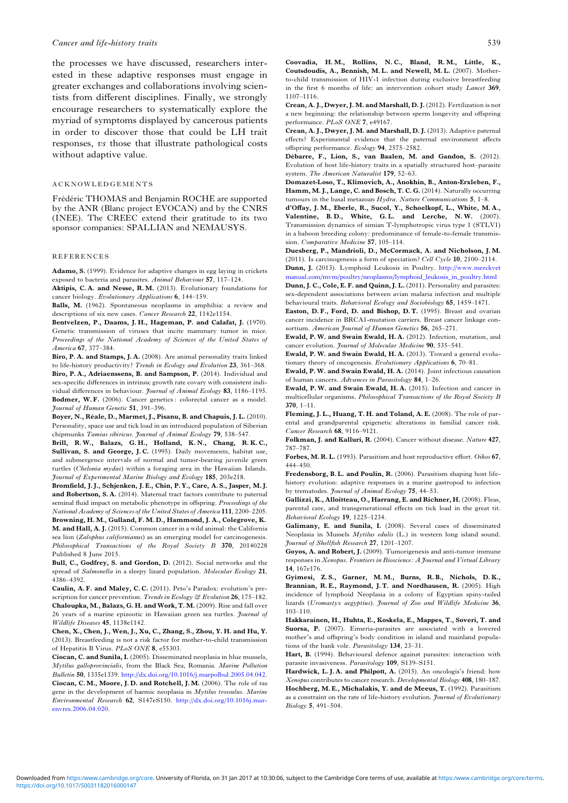<span id="page-6-0"></span>the processes we have discussed, researchers interested in these adaptive responses must engage in greater exchanges and collaborations involving scientists from different disciplines. Finally, we strongly encourage researchers to systematically explore the myriad of symptoms displayed by cancerous patients in order to discover those that could be LH trait responses, vs those that illustrate pathological costs without adaptive value.

#### ACKNOWLEDGEMENTS

Frédéric THOMAS and Benjamin ROCHE are supported by the ANR (Blanc project EVOCAN) and by the CNRS (INEE). The CREEC extend their gratitude to its two sponsor companies: SPALLIAN and NEMAUSYS.

#### REFERENCES

Adamo, S. (1999). Evidence for adaptive changes in egg laying in crickets exposed to bacteria and parasites. Animal Behaviour 57, 117–124.

Aktipis, C. A. and Nesse, R. M. (2013). Evolutionary foundations for cancer biology. Evolutionary Applications 6, 144–159.

Balls, M. (1962). Spontaneous neoplasms in amphibia: a review and descriptions of six new cases. Cancer Research 22, 1142e1154.

Bentvelzen, P., Daams, J. H., Hageman, P. and Calafat, J. (1970). Genetic transmission of viruses that incite mammary tumor in mice. Proceedings of the National Academy of Sciences of the United States of America 67, 377–384.

Biro, P. A. and Stamps, J. A. (2008). Are animal personality traits linked to life-history productivity? Trends in Ecology and Evolution 23, 361–368. Biro, P. A., Adriaenssens, B. and Sampson, P. (2014). Individual and sex-specific differences in intrinsic growth rate covary with consistent individual differences in behaviour. Journal of Animal Ecology 83, 1186-1195. Bodmer, W.F. (2006). Cancer genetics: colorectal cancer as a model. Journal of Human Genetic 51, 391–396.

Boyer, N., Réale, D., Marmet, J., Pisanu, B. and Chapuis, J. L. (2010). Personality, space use and tick load in an introduced population of Siberian chipmunks Tamias sibiricus. Journal of Animal Ecology 79, 538–547.

Brill, R. W., Balazs, G. H., Holland, K. N., Chang, R. K. C., Sullivan, S. and George, J.C. (1995). Daily movements, habitat use, and submergence intervals of normal and tumor-bearing juvenile green turtles (Chelonia mydas) within a foraging area in the Hawaiian Islands. Journal of Experimental Marine Biology and Ecology 185, 203e218.

Bromfield, J. J., Schjenken, J. E., Chin, P. Y., Care, A. S., Jasper, M. J. and Robertson, S. A. (2014). Maternal tract factors contribute to paternal seminal fluid impact on metabolic phenotype in offspring. Proceedings of the National Academy of Sciences of the United States of America 111, 2200–2205. Browning, H. M., Gulland, F. M. D., Hammond, J. A., Colegrove, K. M. and Hall, A. J. (2015). Common cancer in a wild animal: the California sea lion (Zalophus californianus) as an emerging model for carcinogenesis. Philosophical Transactions of the Royal Society B 370, 20140228 Published 8 June 2015.

Bull, C., Godfrey, S. and Gordon, D. (2012). Social networks and the spread of Salmonella in a sleepy lizard population. Molecular Ecology 21, 4386–4392.

Caulin, A. F. and Maley, C. C. (2011). Peto's Paradox: evolution's prescription for cancer prevention. Trends in Ecology  $\Im$  Evolution 26, 175–182. Chaloupka, M., Balazs, G. H. and Work, T. M. (2009). Rise and fall over 26 years of a marine epizootic in Hawaiian green sea turtles. Journal of Wildlife Diseases 45, 1138e1142.

Chen, X., Chen, J., Wen, J., Xu, C., Zhang, S., Zhou, Y. H. and Hu, Y. (2013). Breastfeeding is not a risk factor for mother-to-child transmission of Hepatitis B Virus. PLoS ONE 8, e55303.

Ciocan, C. and Sunila, I. (2005). Disseminated neoplasia in blue mussels, Mytilus galloprovincialis, from the Black Sea, Romania. Marine Pollution Bulletin 50, 1335e1339. [http://dx.doi.org/10.1016/j.marpolbul.2005.04.042.](http://dx.doi.org/10.1016/j.marpolbul.2005.04.042) Ciocan, C. M., Moore, J. D. and Rotchell, J. M. (2006). The role of ras gene in the development of haemic neoplasia in Mytilus trossulus. Marine Environmental Research 62, S147eS150. [http://dx.doi.org/10.1016j.mar](http://dx.doi.org/10.1016j.marenvres.2006.04.020)[envres.2006.04.020](http://dx.doi.org/10.1016j.marenvres.2006.04.020).

Coovadia, H. M., Rollins, N. C., Bland, R. M., Little, K., Coutsdoudis, A., Bennish, M. L. and Newell, M. L. (2007). Motherto-child transmission of HIV-1 infection during exclusive breastfeeding in the first 6 months of life: an intervention cohort study Lancet 369, 1107–1116.

Crean, A. J., Dwyer, J. M. and Marshall, D. J. (2012). Fertilization is not a new beginning: the relationship between sperm longevity and offspring performance. PLoS ONE 7, e49167.

Crean, A. J., Dwyer, J. M. and Marshall, D. J. (2013). Adaptive paternal effects? Experimental evidence that the paternal environment affects offspring performance. Ecology 94, 2575–2582.

Débarre, F., Lion, S., van Baalen, M. and Gandon, S. (2012). Evolution of host life-history traits in a spatially structured host–parasite system. The American Naturalist 179, 52–63.

Domazet-Loso, T., Klimovich, A., Anokhin, B., Anton-Erxleben, F., Hamm, M. J., Lange, C. and Bosch, T. C. G. (2014). Naturally occurring tumours in the basal metazoan Hydra. Nature Communications 5, 1–8.

d'Offay, J. M., Eberle, R., Sucol, Y., Schoelkopf, L., White, M. A., Valentine, B.D., White, G.L. and Lerche, N.W. (2007). Transmission dynamics of simian T-lymphotropic virus type 1 (STLV1) in a baboon breeding colony: predominance of female-to-female transmission. Comparative Medicine 57, 105–114.

Duesberg, P., Mandrioli, D., McCormack, A. and Nicholson, J. M. (2011). Is carcinogenesis a form of speciation? Cell Cycle 10, 2100–2114.

Dunn, J. (2013). Lymphoid Leukosis in Poultry. [http://www.merckvet](http://www.merckvetmanual.com/mvm/poultry/neoplasms/lymphoid_leukosis_in_poultry.html) [manual.com/mvm/poultry/neoplasms/lymphoid\\_leukosis\\_in\\_poultry.html](http://www.merckvetmanual.com/mvm/poultry/neoplasms/lymphoid_leukosis_in_poultry.html) Dunn, J. C., Cole, E. F. and Quinn, J. L. (2011). Personality and parasites:

sex-dependent associations between avian malaria infection and multiple behavioural traits. Behavioral Ecology and Sociobiology 65, 1459–1471.

Easton, D. F., Ford, D. and Bishop, D. T. (1995). Breast and ovarian cancer incidence in BRCA1-mutation carriers. Breast cancer linkage consortium. American Journal of Human Genetics 56, 265-271.

Ewald, P. W. and Swain Ewald, H. A. (2012). Infection, mutation, and cancer evolution. Journal of Molecular Medicine 90, 535-541.

Ewald, P. W. and Swain Ewald, H. A. (2013). Toward a general evolutionary theory of oncogenesis. Evolutionary Applications 6, 70–81.

Ewald, P. W. and Swain Ewald, H. A. (2014). Joint infectious causation of human cancers. Advances in Parasitology 84, 1–26.

Ewald, P. W. and Swain Ewald, H. A. (2015). Infection and cancer in multicellular organisms. Philosophical Transactions of the Royal Society B 370, 1–11.

Fleming, J. L., Huang, T. H. and Toland, A. E. (2008). The role of parental and grandparental epigenetic alterations in familial cancer risk. Cancer Research 68, 9116–9121.

Folkman, J. and Kalluri, R. (2004). Cancer without disease. Nature 427, 787–787.

Forbes, M. R. L. (1993). Parasitism and host reproductive effort. Oikos 67, 444–450.

Fredensborg, B.L. and Poulin, R. (2006). Parasitism shaping host lifehistory evolution: adaptive responses in a marine gastropod to infection by trematodes. Journal of Animal Ecology 75, 44–53.

Gallizzi, K., Alloitteau, O., Harrang, E. and Richner, H. (2008). Fleas, parental care, and transgenerational effects on tick load in the great tit. Behavioral Ecology 19, 1225–1234.

Galimany, E. and Sunila, I. (2008). Several cases of disseminated Neoplasia in Mussels Mytilus edulis (L.) in western long island sound. Journal of Shellfish Research 27, 1201–1207.

Goyos, A. and Robert, J. (2009). Tumorigenesis and anti-tumor immune responses in Xenopus. Frontiers in Bioscience: A Journal and Virtual Library 14, 167e176.

Gyimesi, Z. S., Garner, M. M., Burns, R. B., Nichols, D. K., Brannian, R. E., Raymond, J. T. and Nordhausen, R. (2005). High incidence of lymphoid Neoplasia in a colony of Egyptian spiny-tailed lizards (Uromastyx aegyptius). Journal of Zoo and Wildlife Medicine 36, 103–110.

Hakkarainen, H., Huhta, E., Koskela, E., Mappes, T., Soveri, T. and Suorsa, P. (2007). Eimeria-parasites are associated with a lowered mother's and offspring's body condition in island and mainland populations of the bank vole. Parasitology 134, 23–31.

Hart, B. (1994). Behavioural defence against parasites: interaction with parasite invasiveness. Parasitology 109, S139–S151.

Hardwick, L.J.A. and Philpott, A. (2015). An oncologis's friend: how Xenopus contributes to cancer research. Developmental Biology 408, 180–187. Hochberg, M. E., Michalakis, Y. and de Meeus, T. (1992). Parasitism as a constraint on the rate of life-history evolution. *Journal of Evolutionary* Biology 5, 491–504.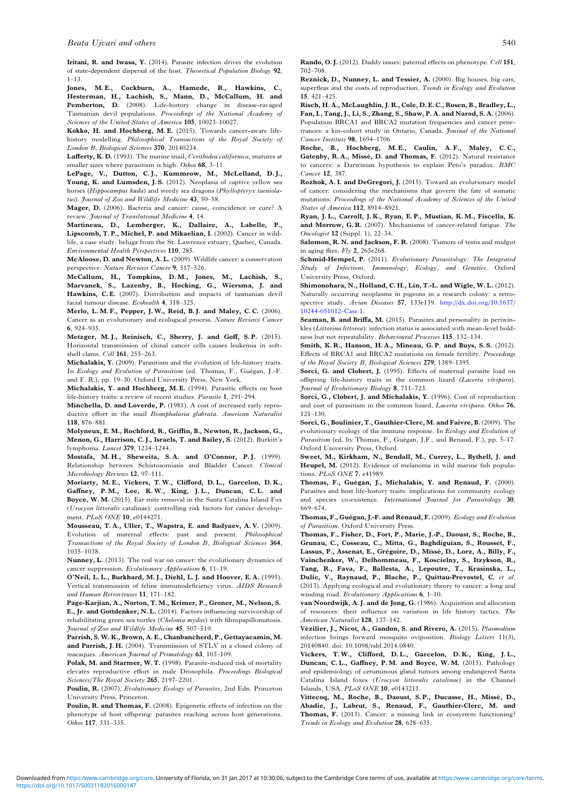<span id="page-7-0"></span>Iritani, R. and Iwasa, Y. (2014). Parasite infection drives the evolution of state-dependent dispersal of the host. Theoretical Population Biology 92,  $1-13$ .

Jones, M. E., Cockburn, A., Hamede, R., Hawkins, C., Hesterman, H., Lachish, S., Mann, D., McCallum, H. and Pemberton, D. (2008). Life-history change in disease-ravaged Tasmanian devil populations. Proceedings of the National Academy of Sciences of the United States of America 105, 10023–10027.

Kokko, H. and Hochberg, M. E. (2015). Towards cancer-aware lifehistory modelling. Philosophical Transactions of the Royal Society of London B, Biological Sciences 370, 20140234.

Lafferty, K. D. (1993). The marine snail, Cerithidea californica, matures at smaller sizes where parasitism is high. Oikos 68, 3-11.

LePage, V., Dutton, C.J., Kummrow, M., McLelland, D.J., Young, K. and Lumsden, J. S. (2012). Neoplasia of captive yellow sea horses (Hippocampus kuda) and weedy sea dragons (Phyllopteryx taeniolatus). Journal of Zoo and Wildlife Medicine 43, 50-58.

Mager, D. (2006). Bacteria and cancer: cause, coincidence or cure? A review. Journal of Translational Medicine 4, 14.

Martineau, D., Lemberger, K., Dallaire, A., Labelle, P., Lipscomb, T. P., Michel, P. and Mikaelian, I. (2002). Cancer in wildlife, a case study: beluga from the St. Lawrence estuary, Quebec, Canada. Environmental Health Perspectives 110, 285.

McAloose, D. and Newton, A. L. (2009). Wildlife cancer: a conservation perspective. Nature Reviews Cancer 9, 517–526.

McCallum, H., Tompkins, D. M., Jones, M., Lachish, S., Marvanek, S., Lazenby, B., Hocking, G., Wiersma, J. and Hawkins, C. E. (2007). Distribution and impacts of tasmanian devil facial tumour disease. Ecohealth 4, 318–325.

Merlo, L. M. F., Pepper, J. W., Reid, B. J. and Maley, C. C. (2006). Cancer as an evolutionary and ecological process. Nature Reviews Cancer 6, 924–935.

Metzger, M. J., Reinisch, C., Sherry, J. and Goff, S. P. (2015). Horizontal transmission of clonal cancer cells causes leukemia in softshell clams. Cell 161, 255–263.

Michalakis, Y. (2009). Parasitism and the evolution of life-history traits. In Ecology and Evolution of Parasitism (ed. Thomas, F., Guégan, J.-F. and F. R.), pp. 19–30. Oxford University Press, New York.

Michalakis, Y. and Hochberg, M. E. (1994). Parasitic effects on host life-history traits: a review of recent studies. Parasite 1, 291–294.

Minchella, D. and Loverde, P. (1981). A cost of increased early reproductive effort in the snail Biomphalaria glabrata. American Naturalist 118, 876–881.

Molyneux, E. M., Rochford, R., Griffin, B., Newton, R., Jackson, G., Menon, G., Harrison, C. J., Israels, T. and Bailey, S. (2012). Burkitt's lymphoma. Lancet 379, 1234–1244.

Mostafa, M.H., Sheweita, S.A. and O'Connor, P.J. (1999). Relationship between Schistosomiasis and Bladder Cancer. Clinical Microbiology Reviews 12, 97–111.

Moriarty, M. E., Vickers, T. W., Clifford, D. L., Garcelon, D. K., Gaffney, P. M., Lee, K. W., King, J. L., Duncan, C. L. and Boyce, W. M. (2015). Ear mite removal in the Santa Catalina Island Fox (Urocyon littoralis catalinae): controlling risk factors for cancer development. PLoS ONE 10, e0144271.

Mousseau, T. A., Uller, T., Wapstra, E. and Badyaev, A. V. (2009). Evolution of maternal effects: past and present. Philosophical Transactions of the Royal Society of London B, Biological Sciences 364, 1035–1038.

Nunney, L. (2013). The real war on cancer: the evolutionary dynamics of cancer suppression. Evolutionary Applications 6, 11–19.

O'Neil, L. L., Burkhard, M. J., Diehl, L. J. and Hoover, E. A. (1995). Vertical transmission of feline immunodeficiency virus. AIDS Research and Human Retroviruses 11, 171–182.

Page-Karjian, A., Norton, T. M., Krimer, P., Groner, M., Nelson, S. E., Jr. and Gottdenker, N. L. (2014). Factors influencing survivorship of rehabilitating green sea turtles (Chelonia mydas) with fibropapillomatosis. Journal of Zoo and Wildlife Medicine 45, 507–519.

Parrish, S. W. K., Brown, A. E., Chanbancherd, P., Gettayacamin, M. and Parrish, J. H. (2004). Transmission of STLV in a closed colony of macaques. American Journal of Primatology 63, 103-109.

Polak, M. and Starmer, W. T. (1998). Parasite-induced risk of mortality elevates reproductive effort in male Drosophila. Proceedings Biological Sciences/The Royal Society 265, 2197–2201.

Poulin, R. (2007). Evolutionary Ecology of Parasites, 2nd Edn. Princeton University Press, Princeton.

Poulin, R. and Thomas, F. (2008). Epigenetic effects of infection on the phenotype of host offspring: parasites reaching across host generations. Oikos 117, 331–335.

Rando, O. J. (2012). Daddy issues: paternal effects on phenotype. Cell 151, 702–708.

Reznick, D., Nunney, L. and Tessier, A. (2000). Big houses, big cars, superfleas and the costs of reproduction. Trends in Ecology and Evolution 15, 421–425.

Risch, H. A., McLaughlin, J. R., Cole, D. E. C., Rosen, B., Bradley, L., Fan, I., Tang, J., Li, S., Zhang, S., Shaw, P. A. and Narod, S. A. (2006). Population BRCA1 and BRCA2 mutation frequencies and cancer penetrances: a kin-cohort study in Ontario, Canada. Journal of the National Cancer Institute 98, 1694–1706.

Roche, B., Hochberg, M. E., Caulin, A. F., Maley, C. C., Gatenby, R. A., Missé, D. and Thomas, F. (2012). Natural resistance to cancers: a Darwinian hypothesis to explain Peto's paradox. BMC Cancer 12, 387.

Rozhok, A. I. and DeGregori, J. (2015). Toward an evolutionary model of cancer: considering the mechanisms that govern the fate of somatic mutations. Proceedings of the National Academy of Sciences of the United States of America 112, 8914-8921.

Ryan, J. L., Carroll, J. K., Ryan, E. P., Mustian, K. M., Fiscella, K. and Morrow, G. R. (2007). Mechanisms of cancer-related fatigue. The Oncologist 12 (Suppl. 1), 22–34.

Salomon, R. N. and Jackson, F. R. (2008). Tumors of testis and midgut in aging flies.  $Fly$  2, 265e268.

Schmid-Hempel, P. (2011). Evolutionary Parasitology: The Integrated Study of Infections, Immunology, Ecology, and Genetics. Oxford University Press, Oxford.

Shimonohara, N., Holland, C. H., Lin, T.-L. and Wigle, W. L. (2012). Naturally occurring neoplasms in pigeons in a research colony: a retrospective study. Avian Diseases 57, 133e139. [http://dx.doi.org/10.1637/](http://dx.doi.org/10.1637/10244-051012-Case.1) [10244-051012-Case.1.](http://dx.doi.org/10.1637/10244-051012-Case.1)

Seaman, B. and Briffa, M. (2015). Parasites and personality in periwinkles (Littorina littorea): infection status is associated with mean-level boldness but not repeatability. Behavioural Processes 115, 132–134.

Smith, K. R., Hanson, H. A., Mineau, G. P. and Buys, S. S. (2012). Effects of BRCA1 and BRCA2 mutations on female fertility. Proceedings of the Royal Society B, Biological Sciences 279, 1389–1395.

Sorci, G. and Clobert, J. (1995). Effects of maternal parasite load on offspring life-history traits in the common lizard (Lacerta vivipara). Journal of Evolutionary Biology 8, 711–723.

Sorci, G., Clobert, J. and Michalakis, Y. (1996). Cost of reproduction and cost of parasitism in the common lizard, Lacerta vivipara. Oikos 76, 121–130.

Sorci, G., Boulinier, T., Gauthier-Clerc, M. and Faivre, B. (2009). The evolutionary ecology of the immune response. In Ecology and Evolution of Parasitism (ed. by Thomas, F., Guégan, J.F., and Renaud, F.), pp. 5–17. Oxford University Press, Oxford.

Sweet, M., Kirkham, N., Bendall, M., Currey, L., Bythell, J. and Heupel, M. (2012). Evidence of melanoma in wild marine fish populations. PLoS ONE 7, e41989.

Thomas, F., Guégan, J., Michalakis, Y. and Renaud, F. (2000). Parasites and host life-history traits: implications for community ecology and species co-existence. International Journal for Parasitology 30, 669–674.

Thomas, F., Guégan, J.-F. and Renaud, F. (2009). Ecology and Evolution of Parasitism. Oxford University Press.

Thomas, F., Fisher, D., Fort, P., Marie, J.-P., Daoust, S., Roche, B., Grunau, C., Cosseau, C., Mitta, G., Baghdiguian, S., Rousset, F., Lassus, P., Assenat, E., Grégoire, D., Missé, D., Lorz, A., Billy, F., Vainchenker, W., Delhommeau, F., Koscielny, S., Itzykson, R., Tang, R., Fava, F., Ballesta, A., Lepoutre, T., Krasinska, L., Dulic, V., Raynaud, P., Blache, P., Quittau-Prevostel, C. et al. (2013). Applying ecological and evolutionary theory to cancer: a long and winding road. Evolutionary Applications 6, 1-10.

van Noordwijk, A. J. and de Jong, G. (1986). Acquisition and allocation of resources: their influence on variation in life history tactics. The American Naturalist 128, 137–142.

Vézilier, J., Nicot, A., Gandon, S. and Rivero, A. (2015). Plasmodium infection brings forward mosquito oviposition. Biology Letters 11(3), 20140840. doi: 10.1098/rsbl.2014.0840.

Vickers, T. W., Clifford, D. L., Garcelon, D. K., King, J. L., Duncan, C. L., Gaffney, P. M. and Boyce, W. M. (2015). Pathology and epidemiology of ceruminous gland tumors among endangered Santa Catalina Island foxes (Urocyon littoralis catalinae) in the Channel Islands, USA. PLoS ONE 10, e0143211.

Vittecoq, M., Roche, B., Daoust, S. P., Ducasse, H., Missé, D., Abadie, J., Labrut, S., Renaud, F., Gauthier-Clerc, M. and Thomas, F. (2013). Cancer: a missing link in ecosystem functioning? Trends in Ecology and Evolution 28, 628–635.